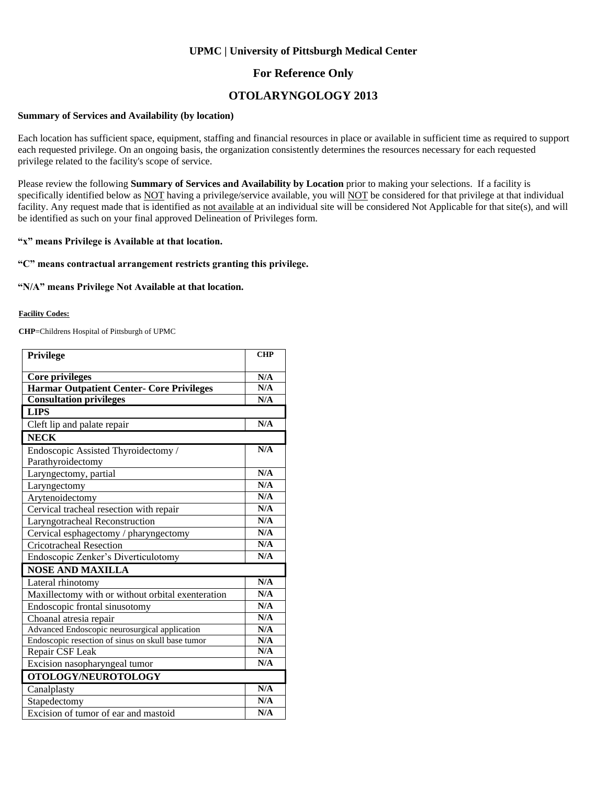### **UPMC | University of Pittsburgh Medical Center**

## **For Reference Only**

## **OTOLARYNGOLOGY 2013**

#### **Summary of Services and Availability (by location)**

Each location has sufficient space, equipment, staffing and financial resources in place or available in sufficient time as required to support each requested privilege. On an ongoing basis, the organization consistently determines the resources necessary for each requested privilege related to the facility's scope of service.

Please review the following **Summary of Services and Availability by Location** prior to making your selections. If a facility is specifically identified below as NOT having a privilege/service available, you will NOT be considered for that privilege at that individual facility. Any request made that is identified as not available at an individual site will be considered Not Applicable for that site(s), and will be identified as such on your final approved Delineation of Privileges form.

#### **"x" means Privilege is Available at that location.**

### **"C" means contractual arrangement restricts granting this privilege.**

#### **"N/A" means Privilege Not Available at that location.**

#### **Facility Codes:**

**CHP**=Childrens Hospital of Pittsburgh of UPMC

| <b>Privilege</b>                                  | <b>CHP</b>              |
|---------------------------------------------------|-------------------------|
|                                                   |                         |
| <b>Core privileges</b>                            | N/A                     |
| Harmar Outpatient Center- Core Privileges         | N/A                     |
| <b>Consultation privileges</b>                    | N/A                     |
| <b>LIPS</b>                                       |                         |
| Cleft lip and palate repair                       | N/A                     |
| <b>NECK</b>                                       |                         |
| Endoscopic Assisted Thyroidectomy /               | N/A                     |
| Parathyroidectomy                                 |                         |
| Laryngectomy, partial                             | N/A                     |
| Laryngectomy                                      | N/A                     |
| Arytenoidectomy                                   | N/A                     |
| Cervical tracheal resection with repair           | N/A                     |
| Laryngotracheal Reconstruction                    | N/A                     |
| Cervical esphagectomy / pharyngectomy             | N/A                     |
| <b>Cricotracheal Resection</b>                    | N/A                     |
| Endoscopic Zenker's Diverticulotomy               | N/A                     |
| <b>NOSE AND MAXILLA</b>                           |                         |
| Lateral rhinotomy                                 | N/A                     |
| Maxillectomy with or without orbital exenteration | N/A                     |
| Endoscopic frontal sinusotomy                     | N/A                     |
| Choanal atresia repair                            | N/A                     |
| Advanced Endoscopic neurosurgical application     | N/A                     |
| Endoscopic resection of sinus on skull base tumor | N/A                     |
| Repair CSF Leak                                   | N/A                     |
| Excision nasopharyngeal tumor                     | N/A                     |
| OTOLOGY/NEUROTOLOGY                               |                         |
| Canalplasty                                       | $\overline{\text{N/A}}$ |
| Stapedectomy                                      | N/A                     |
| Excision of tumor of ear and mastoid              | N/A                     |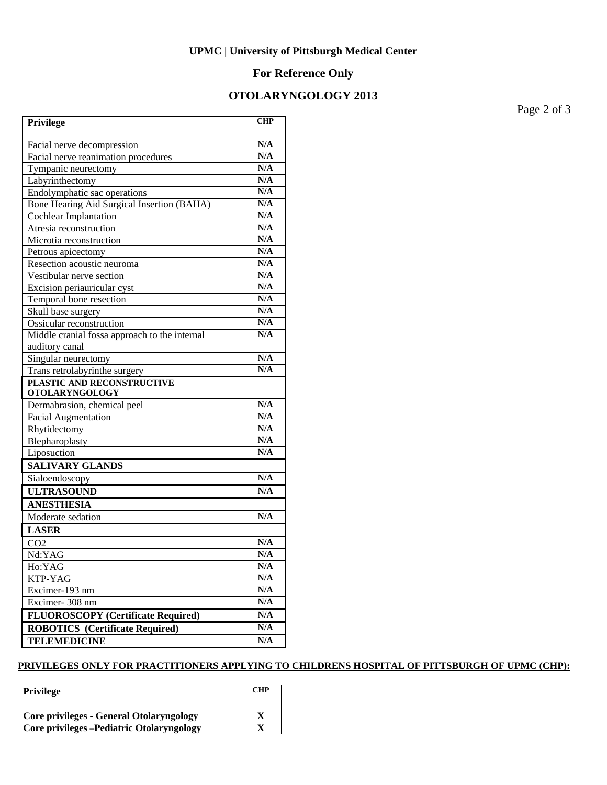## **UPMC | University of Pittsburgh Medical Center**

# **For Reference Only**

# **OTOLARYNGOLOGY 2013**

Page 2 of 3

| Privilege                                     | <b>CHP</b>              |
|-----------------------------------------------|-------------------------|
| Facial nerve decompression                    | N/A                     |
| Facial nerve reanimation procedures           | N/A                     |
| Tympanic neurectomy                           | N/A                     |
| Labyrinthectomy                               | N/A                     |
| Endolymphatic sac operations                  | N/A                     |
| Bone Hearing Aid Surgical Insertion (BAHA)    | N/A                     |
| <b>Cochlear Implantation</b>                  | N/A                     |
| Atresia reconstruction                        | N/A                     |
| Microtia reconstruction                       | N/A                     |
| Petrous apicectomy                            | N/A                     |
| Resection acoustic neuroma                    | N/A                     |
| Vestibular nerve section                      | N/A                     |
| Excision periauricular cyst                   | N/A                     |
| Temporal bone resection                       | N/A                     |
| Skull base surgery                            | N/A                     |
| Ossicular reconstruction                      | N/A                     |
| Middle cranial fossa approach to the internal | N/A                     |
| auditory canal                                |                         |
| Singular neurectomy                           | N/A                     |
| Trans retrolabyrinthe surgery                 | N/A                     |
| PLASTIC AND RECONSTRUCTIVE                    |                         |
| <b>OTOLARYNGOLOGY</b>                         |                         |
| Dermabrasion, chemical peel                   | N/A                     |
| <b>Facial Augmentation</b>                    | N/A                     |
| Rhytidectomy                                  | N/A                     |
| Blepharoplasty                                | N/A                     |
| Liposuction                                   | N/A                     |
| <b>SALIVARY GLANDS</b>                        |                         |
| Sialoendoscopy                                | N/A                     |
| <b>ULTRASOUND</b>                             | N/A                     |
| <b>ANESTHESIA</b>                             |                         |
| Moderate sedation                             | N/A                     |
| <b>LASER</b>                                  |                         |
| CO <sub>2</sub>                               | N/A                     |
| Nd:YAG                                        | N/A                     |
| Ho:YAG                                        | N/A                     |
| KTP-YAG                                       | N/A                     |
| Excimer-193 nm                                | N/A                     |
| Excimer-308 nm                                | N/A                     |
| <b>FLUOROSCOPY</b> (Certificate Required)     | $\mathbf{N}/\mathbf{A}$ |
| <b>ROBOTICS</b> (Certificate Required)        | N/A                     |
| <b>TELEMEDICINE</b>                           | $\mathbf{N}/\mathbf{A}$ |
|                                               |                         |

### **PRIVILEGES ONLY FOR PRACTITIONERS APPLYING TO CHILDRENS HOSPITAL OF PITTSBURGH OF UPMC (CHP):**

| Privilege                                       | <b>CHP</b> |
|-------------------------------------------------|------------|
| <b>Core privileges - General Otolaryngology</b> |            |
| Core privileges - Pediatric Otolaryngology      |            |